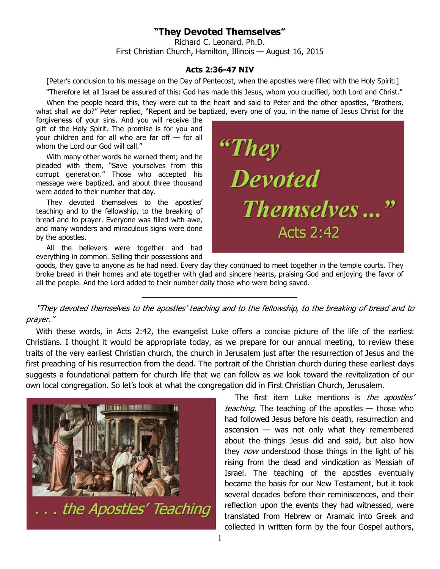## **"They Devoted Themselves"**

Richard C. Leonard, Ph.D. First Christian Church, Hamilton, Illinois — August 16, 2015

## **Acts 2:36-47 NIV**

[Peter's conclusion to his message on the Day of Pentecost, when the apostles were filled with the Holy Spirit:] "Therefore let all Israel be assured of this: God has made this Jesus, whom you crucified, both Lord and Christ."

When the people heard this, they were cut to the heart and said to Peter and the other apostles, "Brothers, what shall we do?" Peter replied, "Repent and be baptized, every one of you, in the name of Jesus Christ for the

forgiveness of your sins. And you will receive the gift of the Holy Spirit. The promise is for you and your children and for all who are far off — for all whom the Lord our God will call."

With many other words he warned them; and he pleaded with them, "Save yourselves from this corrupt generation." Those who accepted his message were baptized, and about three thousand were added to their number that day.

They devoted themselves to the apostles' teaching and to the fellowship, to the breaking of bread and to prayer. Everyone was filled with awe, and many wonders and miraculous signs were done by the apostles.

All the believers were together and had everything in common. Selling their possessions and

"They **Devoted Themselves... Acts 2:42** 

goods, they gave to anyone as he had need. Every day they continued to meet together in the temple courts. They broke bread in their homes and ate together with glad and sincere hearts, praising God and enjoying the favor of all the people. And the Lord added to their number daily those who were being saved.

"They devoted themselves to the apostles' teaching and to the fellowship, to the breaking of bread and to prayer."

\_\_\_\_\_\_\_\_\_\_\_\_\_\_\_\_\_\_\_\_\_\_\_\_\_\_\_\_\_\_\_\_\_\_\_\_

With these words, in Acts 2:42, the evangelist Luke offers a concise picture of the life of the earliest Christians. I thought it would be appropriate today, as we prepare for our annual meeting, to review these traits of the very earliest Christian church, the church in Jerusalem just after the resurrection of Jesus and the first preaching of his resurrection from the dead. The portrait of the Christian church during these earliest days suggests a foundational pattern for church life that we can follow as we look toward the revitalization of our own local congregation. So let's look at what the congregation did in First Christian Church, Jerusalem.



The first item Luke mentions is the apostles' teaching. The teaching of the apostles  $-$  those who had followed Jesus before his death, resurrection and  $ascension$  — was not only what they remembered about the things Jesus did and said, but also how they *now* understood those things in the light of his rising from the dead and vindication as Messiah of Israel. The teaching of the apostles eventually became the basis for our New Testament, but it took several decades before their reminiscences, and their reflection upon the events they had witnessed, were translated from Hebrew or Aramaic into Greek and collected in written form by the four Gospel authors,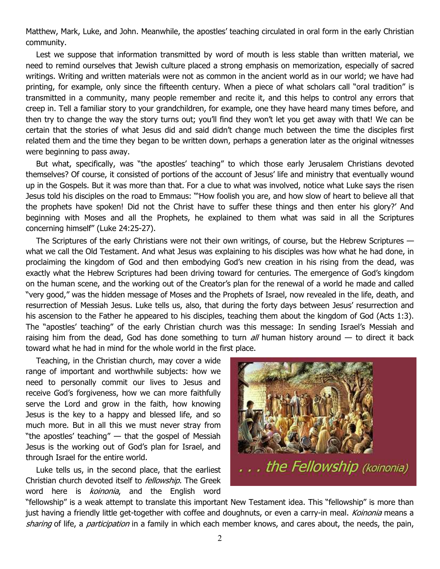Matthew, Mark, Luke, and John. Meanwhile, the apostles' teaching circulated in oral form in the early Christian community.

Lest we suppose that information transmitted by word of mouth is less stable than written material, we need to remind ourselves that Jewish culture placed a strong emphasis on memorization, especially of sacred writings. Writing and written materials were not as common in the ancient world as in our world; we have had printing, for example, only since the fifteenth century. When a piece of what scholars call "oral tradition" is transmitted in a community, many people remember and recite it, and this helps to control any errors that creep in. Tell a familiar story to your grandchildren, for example, one they have heard many times before, and then try to change the way the story turns out; you'll find they won't let you get away with that! We can be certain that the stories of what Jesus did and said didn't change much between the time the disciples first related them and the time they began to be written down, perhaps a generation later as the original witnesses were beginning to pass away.

But what, specifically, was "the apostles' teaching" to which those early Jerusalem Christians devoted themselves? Of course, it consisted of portions of the account of Jesus' life and ministry that eventually wound up in the Gospels. But it was more than that. For a clue to what was involved, notice what Luke says the risen Jesus told his disciples on the road to Emmaus: "'How foolish you are, and how slow of heart to believe all that the prophets have spoken! Did not the Christ have to suffer these things and then enter his glory?' And beginning with Moses and all the Prophets, he explained to them what was said in all the Scriptures concerning himself" (Luke 24:25-27).

The Scriptures of the early Christians were not their own writings, of course, but the Hebrew Scriptures what we call the Old Testament. And what Jesus was explaining to his disciples was how what he had done, in proclaiming the kingdom of God and then embodying God's new creation in his rising from the dead, was exactly what the Hebrew Scriptures had been driving toward for centuries. The emergence of God's kingdom on the human scene, and the working out of the Creator's plan for the renewal of a world he made and called "very good," was the hidden message of Moses and the Prophets of Israel, now revealed in the life, death, and resurrection of Messiah Jesus. Luke tells us, also, that during the forty days between Jesus' resurrection and his ascension to the Father he appeared to his disciples, teaching them about the kingdom of God (Acts 1:3). The "apostles' teaching" of the early Christian church was this message: In sending Israel's Messiah and raising him from the dead, God has done something to turn  $d$  human history around  $-$  to direct it back toward what he had in mind for the whole world in the first place.

Teaching, in the Christian church, may cover a wide range of important and worthwhile subjects: how we need to personally commit our lives to Jesus and receive God's forgiveness, how we can more faithfully serve the Lord and grow in the faith, how knowing Jesus is the key to a happy and blessed life, and so much more. But in all this we must never stray from "the apostles' teaching" — that the gospel of Messiah Jesus is the working out of God's plan for Israel, and through Israel for the entire world.

Luke tells us, in the second place, that the earliest Christian church devoted itself to fellowship. The Greek word here is *koinonia*, and the English word



"fellowship" is a weak attempt to translate this important New Testament idea. This "fellowship" is more than just having a friendly little get-together with coffee and doughnuts, or even a carry-in meal. Koinonia means a sharing of life, a *participation* in a family in which each member knows, and cares about, the needs, the pain,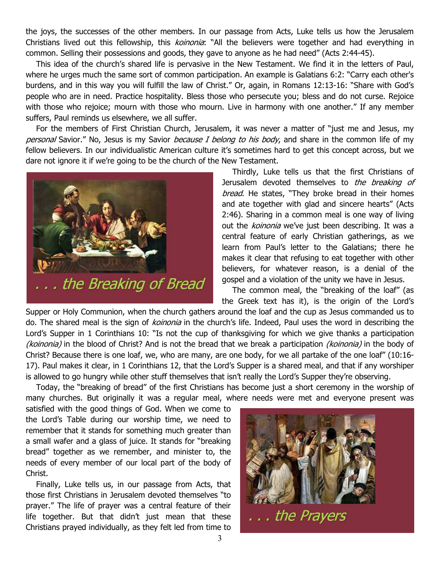the joys, the successes of the other members. In our passage from Acts, Luke tells us how the Jerusalem Christians lived out this fellowship, this koinonia: "All the believers were together and had everything in common. Selling their possessions and goods, they gave to anyone as he had need" (Acts 2:44-45).

This idea of the church's shared life is pervasive in the New Testament. We find it in the letters of Paul, where he urges much the same sort of common participation. An example is Galatians 6:2: "Carry each other's burdens, and in this way you will fulfill the law of Christ." Or, again, in Romans 12:13-16: "Share with God's people who are in need. Practice hospitality. Bless those who persecute you; bless and do not curse. Rejoice with those who rejoice; mourn with those who mourn. Live in harmony with one another." If any member suffers, Paul reminds us elsewhere, we all suffer.

For the members of First Christian Church, Jerusalem, it was never a matter of "just me and Jesus, my personal Savior." No, Jesus is my Savior *because I belong to his body*, and share in the common life of my fellow believers. In our individualistic American culture it's sometimes hard to get this concept across, but we dare not ignore it if we're going to be the church of the New Testament.



Thirdly, Luke tells us that the first Christians of Jerusalem devoted themselves to the breaking of bread. He states, "They broke bread in their homes and ate together with glad and sincere hearts" (Acts 2:46). Sharing in a common meal is one way of living out the *koinonia* we've just been describing. It was a central feature of early Christian gatherings, as we learn from Paul's letter to the Galatians; there he makes it clear that refusing to eat together with other believers, for whatever reason, is a denial of the gospel and a violation of the unity we have in Jesus.

The common meal, the "breaking of the loaf" (as the Greek text has it), is the origin of the Lord's

Supper or Holy Communion, when the church gathers around the loaf and the cup as Jesus commanded us to do. The shared meal is the sign of koinonia in the church's life. Indeed, Paul uses the word in describing the Lord's Supper in 1 Corinthians 10: "Is not the cup of thanksgiving for which we give thanks a participation (koinonia) in the blood of Christ? And is not the bread that we break a participation (koinonia) in the body of Christ? Because there is one loaf, we, who are many, are one body, for we all partake of the one loaf" (10:16- 17). Paul makes it clear, in 1 Corinthians 12, that the Lord's Supper is a shared meal, and that if any worshiper is allowed to go hungry while other stuff themselves that isn't really the Lord's Supper they're observing.

Today, the "breaking of bread" of the first Christians has become just a short ceremony in the worship of many churches. But originally it was a regular meal, where needs were met and everyone present was

satisfied with the good things of God. When we come to the Lord's Table during our worship time, we need to remember that it stands for something much greater than a small wafer and a glass of juice. It stands for "breaking bread" together as we remember, and minister to, the needs of every member of our local part of the body of Christ.

Finally, Luke tells us, in our passage from Acts, that those first Christians in Jerusalem devoted themselves "to prayer." The life of prayer was a central feature of their life together. But that didn't just mean that these Christians prayed individually, as they felt led from time to